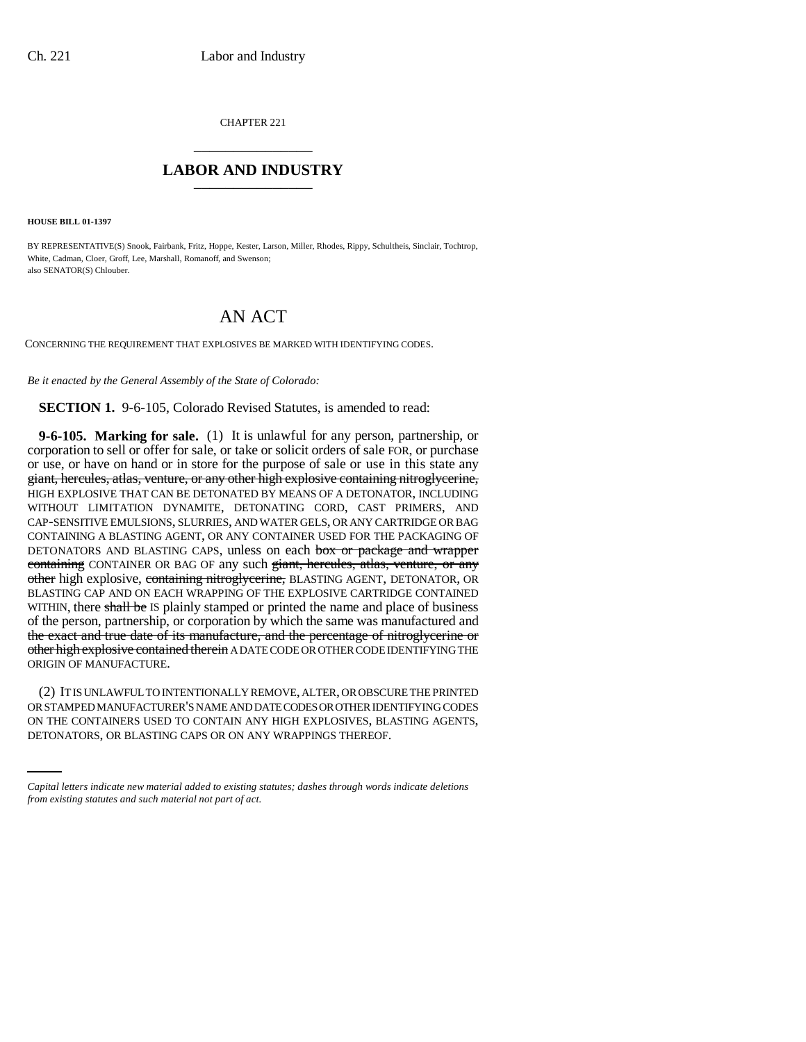CHAPTER 221 \_\_\_\_\_\_\_\_\_\_\_\_\_\_\_

## **LABOR AND INDUSTRY** \_\_\_\_\_\_\_\_\_\_\_\_\_\_\_

**HOUSE BILL 01-1397**

BY REPRESENTATIVE(S) Snook, Fairbank, Fritz, Hoppe, Kester, Larson, Miller, Rhodes, Rippy, Schultheis, Sinclair, Tochtrop, White, Cadman, Cloer, Groff, Lee, Marshall, Romanoff, and Swenson; also SENATOR(S) Chlouber.

## AN ACT

CONCERNING THE REQUIREMENT THAT EXPLOSIVES BE MARKED WITH IDENTIFYING CODES.

*Be it enacted by the General Assembly of the State of Colorado:*

**SECTION 1.** 9-6-105, Colorado Revised Statutes, is amended to read:

**9-6-105. Marking for sale.** (1) It is unlawful for any person, partnership, or corporation to sell or offer for sale, or take or solicit orders of sale FOR, or purchase or use, or have on hand or in store for the purpose of sale or use in this state any giant, hercules, atlas, venture, or any other high explosive containing nitroglycerine, HIGH EXPLOSIVE THAT CAN BE DETONATED BY MEANS OF A DETONATOR, INCLUDING WITHOUT LIMITATION DYNAMITE, DETONATING CORD, CAST PRIMERS, AND CAP-SENSITIVE EMULSIONS, SLURRIES, AND WATER GELS, OR ANY CARTRIDGE OR BAG CONTAINING A BLASTING AGENT, OR ANY CONTAINER USED FOR THE PACKAGING OF DETONATORS AND BLASTING CAPS, unless on each box or package and wrapper containing CONTAINER OR BAG OF any such giant, hercules, atlas, venture, or any other high explosive, containing nitroglycerine, BLASTING AGENT, DETONATOR, OR BLASTING CAP AND ON EACH WRAPPING OF THE EXPLOSIVE CARTRIDGE CONTAINED WITHIN, there shall be IS plainly stamped or printed the name and place of business of the person, partnership, or corporation by which the same was manufactured and the exact and true date of its manufacture, and the percentage of nitroglycerine or other high explosive contained therein A DATE CODE OR OTHER CODE IDENTIFYING THE ORIGIN OF MANUFACTURE.

OR STAMPED MANUFACTURER'S NAME AND DATE CODES OR OTHER IDENTIFYING CODES (2) IT IS UNLAWFUL TO INTENTIONALLY REMOVE, ALTER, OR OBSCURE THE PRINTED ON THE CONTAINERS USED TO CONTAIN ANY HIGH EXPLOSIVES, BLASTING AGENTS, DETONATORS, OR BLASTING CAPS OR ON ANY WRAPPINGS THEREOF.

*Capital letters indicate new material added to existing statutes; dashes through words indicate deletions from existing statutes and such material not part of act.*